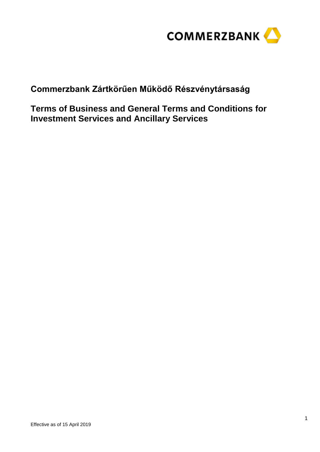

**Commerzbank Zártkörűen Működő Részvénytársaság**

**Terms of Business and General Terms and Conditions for Investment Services and Ancillary Services**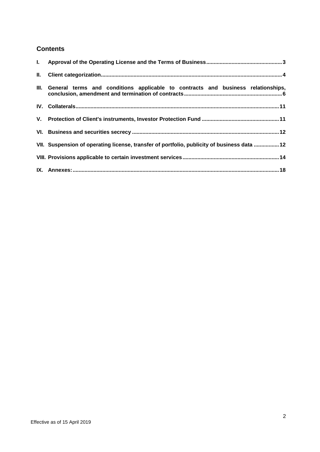# **Contents**

| III. General terms and conditions applicable to contracts and business relationships,       |
|---------------------------------------------------------------------------------------------|
|                                                                                             |
|                                                                                             |
|                                                                                             |
| VII. Suspension of operating license, transfer of portfolio, publicity of business data  12 |
|                                                                                             |
|                                                                                             |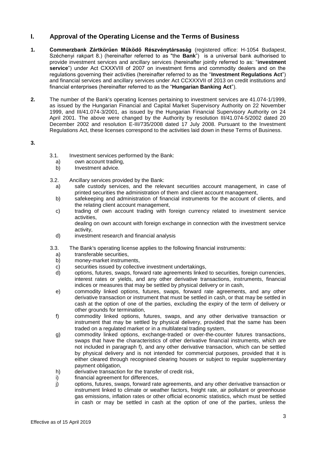# <span id="page-2-0"></span>**I. Approval of the Operating License and the Terms of Business**

- **1. Commerzbank Zártkörűen Működő Részvénytársaság** (registered office: H-1054 Budapest, Széchenyi rakpart 8.) (hereinafter referred to as "the **Bank**") is a universal bank authorised to provide investment services and ancillary services (hereinafter jointly referred to as: "**investment service**") under Act CXXXVIII of 2007 on investment firms and commodity dealers and on the regulations governing their activities (hereinafter referred to as the "**Investment Regulations Act**") and financial services and ancillary services under Act CCXXXVII of 2013 on credit institutions and financial enterprises (hereinafter referred to as the "**Hungarian Banking Act**").
- **2.** The number of the Bank's operating licenses pertaining to investment services are 41.074-1/1999, as issued by the Hungarian Financial and Capital Market Supervisory Authority on 22 November 1999, and III/41.074-3/2001, as issued by the Hungarian Financial Supervisory Authority on 24 April 2001. The above were changed by the Authority by resolution III/41.074-5/2002 dated 20 December 2002 and resolution E-III/735/2008 dated 17 July 2008. Pursuant to the Investment Regulations Act, these licenses correspond to the activities laid down in these Terms of Business.

**3.**

- 3.1. Investment services performed by the Bank:<br>a) own account trading,
	- own account trading,
	- b) Investment advice.
- 3.2. Ancillary services provided by the Bank:
	- a) safe custody services, and the relevant securities account management, in case of printed securities the administration of them and client account management,
	- b) safekeeping and administration of financial instruments for the account of clients, and the relating client account management,
	- c) trading of own account trading with foreign currency related to investment service activities,
		- dealing on own account with foreign exchange in connection with the investment service activity,
	- d) investment research and financial analysis
- 3.3. The Bank's operating license applies to the following financial instruments:
	- a) transferable securities,
	- b) money-market instruments,
	- c) securities issued by collective investment undertakings,<br>d) options, futures, swaps, forward rate agreements linked
	- d) options, futures, swaps, forward rate agreements linked to securities, foreign currencies, interest rates or yields, and any other derivative transactions, instruments, financial indices or measures that may be settled by physical delivery or in cash,
	- e) commodity linked options, futures, swaps, forward rate agreements, and any other derivative transaction or instrument that must be settled in cash, or that may be settled in cash at the option of one of the parties, excluding the expiry of the term of delivery or other grounds for termination,
	- f) commodity linked options, futures, swaps, and any other derivative transaction or instrument that may be settled by physical delivery, provided that the same has been traded on a regulated market or in a multilateral trading system,
	- g) commodity linked options, exchange-traded or over-the-counter futures transactions, swaps that have the characteristics of other derivative financial instruments, which are not included in paragraph f), and any other derivative transaction, which can be settled by physical delivery and is not intended for commercial purposes, provided that it is either cleared through recognised clearing houses or subject to regular supplementary payment obligation,
	- h) derivative transaction for the transfer of credit risk,
	- i) financial agreement for differences,
	- j) options, futures, swaps, forward rate agreements, and any other derivative transaction or instrument linked to climate or weather factors, freight rate, air pollutant or greenhouse gas emissions, inflation rates or other official economic statistics, which must be settled in cash or may be settled in cash at the option of one of the parties, unless the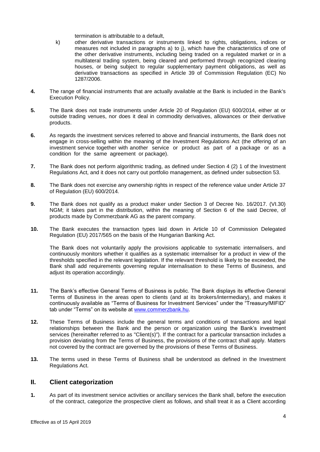termination is attributable to a default,

- k) other derivative transactions or instruments linked to rights, obligations, indices or measures not included in paragraphs a) to j), which have the characteristics of one of the other derivative instruments, including being traded on a regulated market or in a multilateral trading system, being cleared and performed through recognized clearing houses, or being subject to regular supplementary payment obligations, as well as derivative transactions as specified in Article 39 of Commission Regulation (EC) No 1287/2006.
- **4.** The range of financial instruments that are actually available at the Bank is included in the Bank's Execution Policy.
- **5.** The Bank does not trade instruments under Article 20 of Regulation (EU) 600/2014, either at or outside trading venues, nor does it deal in commodity derivatives, allowances or their derivative products.
- **6.** As regards the investment services referred to above and financial instruments, the Bank does not engage in cross-selling within the meaning of the Investment Regulations Act (the offering of an investment service together with another service or product as part of a package or as a condition for the same agreement or package).
- **7.** The Bank does not perform algorithmic trading, as defined under Section 4 (2) 1 of the Investment Regulations Act, and it does not carry out portfolio management, as defined under subsection 53.
- **8.** The Bank does not exercise any ownership rights in respect of the reference value under Article 37 of Regulation (EU) 600/2014.
- **9.** The Bank does not qualify as a product maker under Section 3 of Decree No. 16/2017. (VI.30) NGM; it takes part in the distribution, within the meaning of Section 6 of the said Decree, of products made by Commerzbank AG as the parent company.
- **10.** The Bank executes the transaction types laid down in Article 10 of Commission Delegated Regulation (EU) 2017/565 on the basis of the Hungarian Banking Act.

The Bank does not voluntarily apply the provisions applicable to systematic internalisers, and continuously monitors whether it qualifies as a systematic internaliser for a product in view of the thresholds specified in the relevant legislation. If the relevant threshold is likely to be exceeded, the Bank shall add requirements governing regular internalisation to these Terms of Business, and adjust its operation accordingly.

- **11.** The Bank's effective General Terms of Business is public. The Bank displays its effective General Terms of Business in the areas open to clients (and at its brokers/intermediary), and makes it continuously available as "Terms of Business for Investment Services" under the "Treasury/MIFID" tab under "Terms" on its website at [www.commerzbank.hu.](https://www.commerzbank.hu/portal/media/corporatebanking/auslandsseiten/ungarn-informationen/englisch-/impressum-2/agbs-ungarisch/Befektetesi_uzletszabalyzat_20180103.pdf)
- **12.** These Terms of Business include the general terms and conditions of transactions and legal relationships between the Bank and the person or organization using the Bank's investment services (hereinafter referred to as "Client(s)"). If the contract for a particular transaction includes a provision deviating from the Terms of Business, the provisions of the contract shall apply. Matters not covered by the contract are governed by the provisions of these Terms of Business.
- **13.** The terms used in these Terms of Business shall be understood as defined in the Investment Regulations Act.

### <span id="page-3-0"></span>**II. Client categorization**

**1.** As part of its investment service activities or ancillary services the Bank shall, before the execution of the contract, categorize the prospective client as follows, and shall treat it as a Client according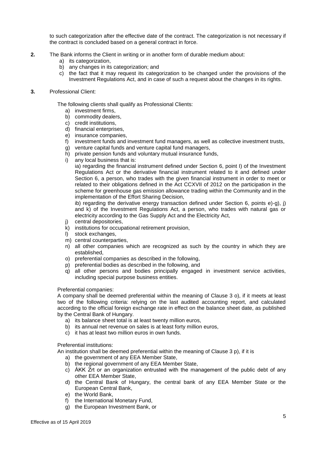to such categorization after the effective date of the contract. The categorization is not necessary if the contract is concluded based on a general contract in force.

- **2.** The Bank informs the Client in writing or in another form of durable medium about:
	- a) its categorization,
	- b) any changes in its categorization; and
	- c) the fact that it may request its categorization to be changed under the provisions of the Investment Regulations Act, and in case of such a request about the changes in its rights.
- **3.** Professional Client:

The following clients shall qualify as Professional Clients:

- a) investment firms,
- b) commodity dealers,
- c) credit institutions,
- d) financial enterprises,
- e) insurance companies,
- f) investment funds and investment fund managers, as well as collective investment trusts,
- g) venture capital funds and venture capital fund managers,
- h) private pension funds and voluntary mutual insurance funds,
- i) any local business that is:

ia) regarding the financial instrument defined under Section 6, point I) of the Investment Regulations Act or the derivative financial instrument related to it and defined under Section 6, a person, who trades with the given financial instrument in order to meet or related to their obligations defined in the Act CCXVII of 2012 on the participation in the scheme for greenhouse gas emission allowance trading within the Community and in the implementation of the Effort Sharing Decision,

ib) regarding the derivative energy transaction defined under Section 6, points e)-g), j) and k) of the Investment Regulations Act, a person, who trades with natural gas or electricity according to the Gas Supply Act and the Electricity Act,

- j) central depositories,
- k) institutions for occupational retirement provision,
- l) stock exchanges,
- m) central counterparties,
- n) all other companies which are recognized as such by the country in which they are established,
- o) preferential companies as described in the following,
- p) preferential bodies as described in the following, and
- q) all other persons and bodies principally engaged in investment service activities, including special purpose business entities.

#### Preferential companies:

A company shall be deemed preferential within the meaning of Clause 3 o), if it meets at least two of the following criteria: relying on the last audited accounting report, and calculated according to the official foreign exchange rate in effect on the balance sheet date, as published by the Central Bank of Hungary.

- a) its balance sheet total is at least twenty million euros,
- b) its annual net revenue on sales is at least forty million euros,
- c) it has at least two million euros in own funds.

#### Preferential institutions:

An institution shall be deemed preferential within the meaning of Clause 3 p), if it is

- a) the government of any EEA Member State,
- b) the regional government of any EEA Member State,
- c) ÁKK Zrt or an organization entrusted with the management of the public debt of any other EEA Member State,
- d) the Central Bank of Hungary, the central bank of any EEA Member State or the European Central Bank,
- e) the World Bank,
- f) the International Monetary Fund,
- g) the European Investment Bank, or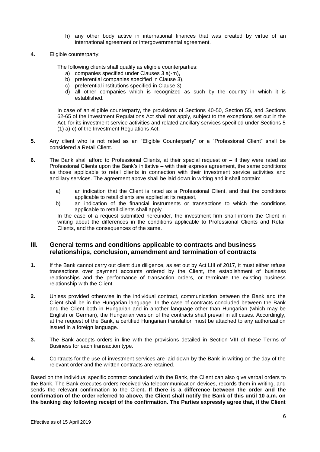- h) any other body active in international finances that was created by virtue of an international agreement or intergovernmental agreement.
- **4.** Eligible counterparty:

The following clients shall qualify as eligible counterparties:

- a) companies specified under Clauses 3 a)-m),
- b) preferential companies specified in Clause 3),
- c) preferential institutions specified in Clause 3)
- d) all other companies which is recognized as such by the country in which it is established.

In case of an eligible counterparty, the provisions of Sections 40-50, Section 55, and Sections 62-65 of the Investment Regulations Act shall not apply, subject to the exceptions set out in the Act, for its investment service activities and related ancillary services specified under Sections 5 (1) a)-c) of the Investment Regulations Act.

- **5.** Any client who is not rated as an "Eligible Counterparty" or a "Professional Client" shall be considered a Retail Client.
- **6.** The Bank shall afford to Professional Clients, at their special request or if they were rated as Professional Clients upon the Bank's initiative – with their express agreement, the same conditions as those applicable to retail clients in connection with their investment service activities and ancillary services. The agreement above shall be laid down in writing and it shall contain:
	- a) an indication that the Client is rated as a Professional Client, and that the conditions applicable to retail clients are applied at its request,
	- b) an indication of the financial instruments or transactions to which the conditions applicable to retail clients shall apply.

In the case of a request submitted hereunder, the investment firm shall inform the Client in writing about the differences in the conditions applicable to Professional Clients and Retail Clients, and the consequences of the same.

## <span id="page-5-0"></span>**III. General terms and conditions applicable to contracts and business relationships, conclusion, amendment and termination of contracts**

- **1.** If the Bank cannot carry out client due diligence, as set out by Act LIII of 2017, it must either refuse transactions over payment accounts ordered by the Client, the establishment of business relationships and the performance of transaction orders, or terminate the existing business relationship with the Client.
- **2.** Unless provided otherwise in the individual contract, communication between the Bank and the Client shall be in the Hungarian language. In the case of contracts concluded between the Bank and the Client both in Hungarian and in another language other than Hungarian (which may be English or German), the Hungarian version of the contracts shall prevail in all cases. Accordingly, at the request of the Bank, a certified Hungarian translation must be attached to any authorization issued in a foreign language.
- **3.** The Bank accepts orders in line with the provisions detailed in Section VIII of these Terms of Business for each transaction type.
- **4.** Contracts for the use of investment services are laid down by the Bank in writing on the day of the relevant order and the written contracts are retained.

Based on the individual specific contract concluded with the Bank, the Client can also give verbal orders to the Bank. The Bank executes orders received via telecommunication devices, records them in writing, and sends the relevant confirmation to the Client**. If there is a difference between the order and the confirmation of the order referred to above, the Client shall notify the Bank of this until 10 a.m. on the banking day following receipt of the confirmation. The Parties expressly agree that, if the Client**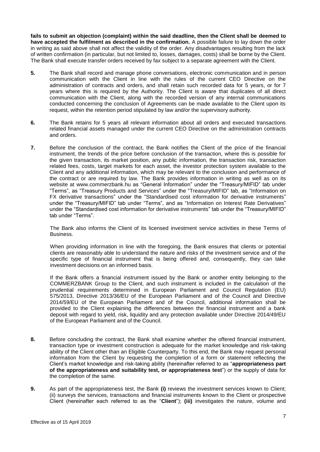**fails to submit an objection (complaint) within the said deadline, then the Client shall be deemed to have accepted the fulfilment as described in the confirmation.** A possible failure to lay down the order in writing as said above shall not affect the validity of the order. Any disadvantages resulting from the lack of written confirmation (in particular, but not limited to, losses, damages, costs) shall be borne by the Client. The Bank shall execute transfer orders received by fax subject to a separate agreement with the Client.

- **5.** The Bank shall record and manage phone conversations, electronic communication and in person communication with the Client in line with the rules of the current CEO Directive on the administration of contracts and orders, and shall retain such recorded data for 5 years, or for 7 years where this is required by the Authority. The Client is aware that duplicates of all direct communication with the Client, along with the recorded version of any internal communications conducted concerning the conclusion of Agreements can be made available to the Client upon its request, within the retention period stipulated by law and/or the supervisory authority.
- **6.** The Bank retains for 5 years all relevant information about all orders and executed transactions related financial assets managed under the current CEO Directive on the administration contracts and orders.
- **7.** Before the conclusion of the contract, the Bank notifies the Client of the price of the financial instrument, the trends of the price before conclusion of the transaction, where this is possible for the given transaction, its market position, any public information, the transaction risk, transaction related fees, costs, target markets for each asset, the investor protection system available to the Client and any additional information, which may be relevant to the conclusion and performance of the contract or are required by law. The Bank provides information in writing as well as on its website at [www.commerzbank.hu](http://www.commerzbank.hu/) as "General Information" under the "Treasury/MIFID" tab under "Terms", as "Treasury Products and Services" under the "Treasury/MIFID" tab, as "Information on FX derivative transactions" under the "Standardised cost information for derivative instruments" under the "Treasury/MIFID" tab under "Terms", and as "Information on Interest Rate Derivatives" under the "Standardised cost information for derivative instruments" tab under the "Treasury/MIFID" tab under "Terms".

The Bank also informs the Client of its licensed investment service activities in these Terms of Business.

When providing information in line with the foregoing, the Bank ensures that clients or potential clients are reasonably able to understand the nature and risks of the investment service and of the specific type of financial instrument that is being offered and, consequently, they can take investment decisions on an informed basis.

If the Bank offers a financial instrument issued by the Bank or another entity belonging to the COMMERZBANK Group to the Client, and such instrument is included in the calculation of the prudential requirements determined in European Parliament and Council Regulation (EU) 575/2013, Directive 2013/36/EU of the European Parliament and of the Council and Directive 2014/59/EU of the European Parliament and of the Council, additional information shall be provided to the Client explaining the differences between the financial instrument and a bank deposit with regard to yield, risk, liquidity and any protection available under Directive 2014/49/EU of the European Parliament and of the Council.

- **8.** Before concluding the contract, the Bank shall examine whether the offered financial instrument, transaction type or investment construction is adequate for the market knowledge and risk-taking ability of the Client other than an Eligible Counterparty. To this end, the Bank may request personal information from the Client by requesting the completion of a form or statement reflecting the Client's market knowledge and risk-taking ability (hereinafter referred to as "**appropriateness part of the appropriateness and suitability test, or appropriateness test**") or the supply of data for the completion of the same.
- **9.** As part of the appropriateness test, the Bank **(i)** reviews the investment services known to Client; (ii) surveys the services, transactions and financial instruments known to the Client or prospective Client (hereinafter each referred to as the "**Client**"); **(iii)** investigates the nature, volume and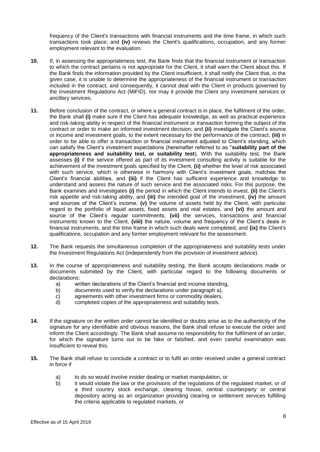frequency of the Client's transactions with financial instruments and the time frame, in which such transactions took place; and **(iv)** reviews the Client's qualifications, occupation, and any former employment relevant to the evaluation.

- **10.** If, in assessing the appropriateness test, the Bank finds that the financial instrument or transaction to which the contract pertains is not appropriate for the Client, it shall warn the Client about this. If the Bank finds the information provided by the Client insufficient, it shall notify the Client that, in the given case, it is unable to determine the appropriateness of the financial instrument or transaction included in the contract, and consequently, it cannot deal with the Client in products governed by the Investment Regulations Act (MiFID), nor may it provide the Client any investment services or ancillary services.
- **11.** Before conclusion of the contract, or where a general contract is in place, the fulfilment of the order, the Bank shall **(i)** make sure if the Client has adequate knowledge, as well as practical experience and risk-taking ability in respect of the financial instrument or transaction forming the subject of the contract or order to make an informed investment decision; and **(ii)** investigate the Client's source or income and investment goals, to the extent necessary for the performance of the contract, **(iii)** in order to be able to offer a transaction or financial instrument adjusted to Client's standing, which can satisfy the Client's investment expectations (hereinafter referred to as "**suitability part of the appropriateness and suitability test, or suitability test**). With the suitability test, the Bank assesses **(i)** if the service offered as part of its investment consulting activity is suitable for the achievement of the investment goals specified by the Client, **(ii)** whether the level of risk associated with such service, which is otherwise in harmony with Client's investment goals, matches the Client's financial abilities, and **(iii)** if the Client has sufficient experience and knowledge to understand and assess the nature of such service and the associated risks. For this purpose, the Bank examines and investigates **(i)** the period in which the Client intends to invest, **(ii)** the Client's risk appetite and risk-taking ability, and **(iii)** the intended goal of the investment, **(iv)** the amount and sources of the Client's income, **(v)** the volume of assets held by the Client, with particular regard to the portfolio of liquid assets, fixed assets and real estates, and **(vi)** the amount and source of the Client's regular commitments; **(vii)** the services, transactions and financial instruments known to the Client, **(viii)** the nature, volume and frequency of the Client's deals in financial instruments, and the time frame in which such deals were completed, and **(ix)** the Client's qualifications, occupation and any former employment relevant for the assessment.
- **12.** The Bank requests the simultaneous completion of the appropriateness and suitability tests under the Investment Regulations Act (independently from the provision of investment advice).
- **13.** In the course of appropriateness and suitability testing, the Bank accepts declarations made or documents submitted by the Client, with particular regard to the following documents or declarations:
	- a) written declarations of the Client's financial and income standing,<br>b) documents used to verify the declarations under paragraph a),
	- documents used to verify the declarations under paragraph a),
	- c) agreements with other investment firms or commodity dealers,
	- d) completed copies of the appropriateness and suitability tests.
- **14.** If the signature on the written order cannot be identified or doubts arise as to the authenticity of the signature for any identifiable and obvious reasons, the Bank shall refuse to execute the order and inform the Client accordingly. The Bank shall assume no responsibility for the fulfilment of an order, for which the signature turns out to be fake or falsified, and even careful examination was insufficient to reveal this.
- **15.** The Bank shall refuse to conclude a contract or to fulfil an order received under a general contract in force if
	- a) to do so would involve insider dealing or market manipulation, or
	- b) it would violate the law or the provisions of the regulations of the regulated market, or of a third country stock exchange, clearing house, central counterparty or central depository acting as an organization providing clearing or settlement services fulfilling the criteria applicable to regulated markets, or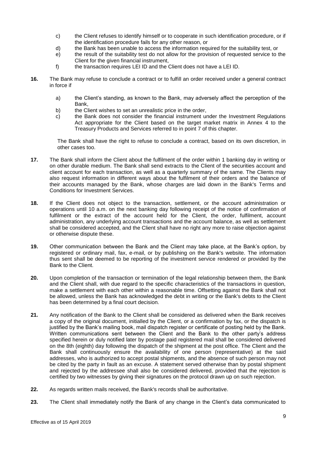- c) the Client refuses to identify himself or to cooperate in such identification procedure, or if the identification procedure fails for any other reason, or
- d) the Bank has been unable to access the information required for the suitability test, or
- e) the result of the suitability test do not allow for the provision of requested service to the Client for the given financial instrument,
- f) the transaction requires LEI ID and the Client does not have a LEI ID.
- **16.** The Bank may refuse to conclude a contract or to fulfill an order received under a general contract in force if
	- a) the Client's standing, as known to the Bank, may adversely affect the perception of the Bank,
	- b) the Client wishes to set an unrealistic price in the order,<br>c) the Bank does not consider the financial instrument ur
	- the Bank does not consider the financial instrument under the Investment Regulations Act appropriate for the Client based on the target market matrix in Annex 4 to the Treasury Products and Services referred to in point 7 of this chapter.

The Bank shall have the right to refuse to conclude a contract, based on its own discretion, in other cases too.

- **17.** The Bank shall inform the Client about the fulfilment of the order within 1 banking day in writing or on other durable medium. The Bank shall send extracts to the Client of the securities account and client account for each transaction, as well as a quarterly summary of the same. The Clients may also request information in different ways about the fulfilment of their orders and the balance of their accounts managed by the Bank, whose charges are laid down in the Bank's Terms and Conditions for Investment Services.
- **18.** If the Client does not object to the transaction, settlement, or the account administration or operations until 10 a.m. on the next banking day following receipt of the notice of confirmation of fulfilment or the extract of the account held for the Client, the order, fulfilment, account administration, any underlying account transactions and the account balance, as well as settlement shall be considered accepted, and the Client shall have no right any more to raise objection against or otherwise dispute these.
- **19.** Other communication between the Bank and the Client may take place, at the Bank's option, by registered or ordinary mail, fax, e-mail, or by publishing on the Bank's website. The information thus sent shall be deemed to be reporting of the investment service rendered or provided by the Bank to the Client.
- **20.** Upon completion of the transaction or termination of the legal relationship between them, the Bank and the Client shall, with due regard to the specific characteristics of the transactions in question, make a settlement with each other within a reasonable time. Offsetting against the Bank shall not be allowed, unless the Bank has acknowledged the debt in writing or the Bank's debts to the Client has been determined by a final court decision.
- **21.** Any notification of the Bank to the Client shall be considered as delivered when the Bank receives a copy of the original document, initialled by the Client, or a confirmation by fax, or the dispatch is justified by the Bank's mailing book, mail dispatch register or certificate of posting held by the Bank. Written communications sent between the Client and the Bank to the other party's address specified herein or duly notified later by postage paid registered mail shall be considered delivered on the 8th (eighth) day following the dispatch of the shipment at the post office. The Client and the Bank shall continuously ensure the availability of one person (representative) at the said addresses, who is authorized to accept postal shipments, and the absence of such person may not be cited by the party in fault as an excuse. A statement served otherwise than by postal shipment and rejected by the addressee shall also be considered delivered, provided that the rejection is certified by two witnesses by giving their signatures on the protocol drawn up on such rejection.
- **22.** As regards written mails received, the Bank's records shall be authoritative.
- **23.** The Client shall immediately notify the Bank of any change in the Client's data communicated to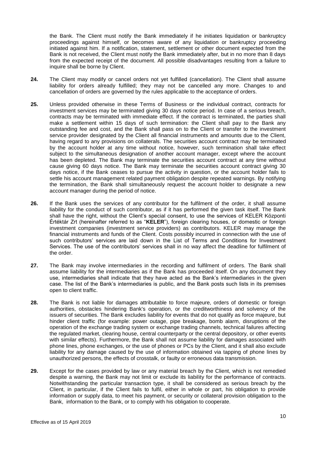the Bank. The Client must notify the Bank immediately if he initiates liquidation or bankruptcy proceedings against himself, or becomes aware of any liquidation or bankruptcy proceeding initiated against him. If a notification, statement, settlement or other document expected from the Bank is not received, the Client must notify the Bank immediately after, but in no more than 8 days from the expected receipt of the document. All possible disadvantages resulting from a failure to inquire shall be borne by Client.

- **24.** The Client may modify or cancel orders not yet fulfilled (cancellation). The Client shall assume liability for orders already fulfilled; they may not be cancelled any more. Changes to and cancellation of orders are governed by the rules applicable to the acceptance of orders.
- **25.** Unless provided otherwise in these Terms of Business or the individual contract, contracts for investment services may be terminated giving 30 days notice period. In case of a serious breach, contracts may be terminated with immediate effect. If the contract is terminated, the parties shall make a settlement within 15 days of such termination: the Client shall pay to the Bank any outstanding fee and cost, and the Bank shall pass on to the Client or transfer to the investment service provider designated by the Client all financial instruments and amounts due to the Client, having regard to any provisions on collaterals. The securities account contract may be terminated by the account holder at any time without notice, however, such termination shall take effect subject to the simultaneous designation of another account manager, except where the account has been depleted. The Bank may terminate the securities account contract at any time without cause giving 60 days notice. The Bank may terminate the securities account contract giving 30 days notice, if the Bank ceases to pursue the activity in question, or the account holder fails to settle his account management related payment obligation despite repeated warnings. By notifying the termination, the Bank shall simultaneously request the account holder to designate a new account manager during the period of notice.
- **26.** If the Bank uses the services of any contributor for the fulfilment of the order, it shall assume liability for the conduct of such contributor, as if it has performed the given task itself. The Bank shall have the right, without the Client's special consent, to use the services of KELER Központi Értéktár Zrt (hereinafter referred to as "**KELER**"), foreign clearing houses, or domestic or foreign investment companies (investment service providers) as contributors. KELER may manage the financial instruments and funds of the Client. Costs possibly incurred in connection with the use of such contributors' services are laid down in the List of Terms and Conditions for Investment Services. The use of the contributors' services shall in no way affect the deadline for fulfilment of the order.
- **27.** The Bank may involve intermediaries in the recording and fulfilment of orders. The Bank shall assume liability for the intermediaries as if the Bank has proceeded itself. On any document they use, intermediaries shall indicate that they have acted as the Bank's intermediaries in the given case. The list of the Bank's intermediaries is public, and the Bank posts such lists in its premises open to client traffic.
- **28.** The Bank is not liable for damages attributable to force majeure, orders of domestic or foreign authorities, obstacles hindering Bank's operation, or the creditworthiness and solvency of the issuers of securities. The Bank excludes liability for events that do not qualify as force majeure, but hinder client traffic (for example: power outage, pipe breakage, bomb alarm, disruptions of the operation of the exchange trading system or exchange trading channels, technical failures affecting the regulated market, clearing house, central counterparty or the central depository, or other events with similar effects). Furthermore, the Bank shall not assume liability for damages associated with phone lines, phone exchanges, or the use of phones or PCs by the Client, and it shall also exclude liability for any damage caused by the use of information obtained via tapping of phone lines by unauthorized persons, the effects of crosstalk, or faulty or erroneous data transmission.
- **29.** Except for the cases provided by law or any material breach by the Client, which is not remedied despite a warning, the Bank may not limit or exclude its liability for the performance of contracts. Notwithstanding the particular transaction type, it shall be considered as serious breach by the Client, in particular, if the Client fails to fulfil, either in whole or part, his obligation to provide information or supply data, to meet his payment, or security or collateral provision obligation to the Bank, information to the Bank, or to comply with his obligation to cooperate.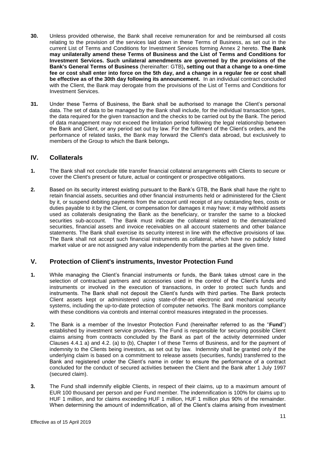- **30.** Unless provided otherwise, the Bank shall receive remuneration for and be reimbursed all costs relating to the provision of the services laid down in these Terms of Business, as set out in the current List of Terms and Conditions for Investment Services forming Annex 2 hereto. **The Bank may unilaterally amend these Terms of Business and the List of Terms and Conditions for Investment Services. Such unilateral amendments are governed by the provisions of the Bank's General Terms of Business** (hereinafter: GTB)**, setting out that a change to a one-time fee or cost shall enter into force on the 5th day, and a change in a regular fee or cost shall be effective as of the 30th day following its announcement.** In an individual contract concluded with the Client, the Bank may derogate from the provisions of the List of Terms and Conditions for Investment Services.
- **31.** Under these Terms of Business, the Bank shall be authorised to manage the Client's personal data. The set of data to be managed by the Bank shall include, for the individual transaction types, the data required for the given transaction and the checks to be carried out by the Bank. The period of data management may not exceed the limitation period following the legal relationship between the Bank and Client, or any period set out by law. For the fulfilment of the Client's orders, and the performance of related tasks, the Bank may forward the Client's data abroad, but exclusively to members of the Group to which the Bank belongs**.**

## <span id="page-10-0"></span>**IV. Collaterals**

- **1.** The Bank shall not conclude title transfer financial collateral arrangements with Clients to secure or cover the Client's present or future, actual or contingent or prospective obligations.
- **2.** Based on its security interest existing pursuant to the Bank's GTB, the Bank shall have the right to retain financial assets, securities and other financial instruments held or administered for the Client by it, or suspend debiting payments from the account until receipt of any outstanding fees, costs or duties payable to it by the Client, or compensation for damages it may have; it may withhold assets used as collaterals designating the Bank as the beneficiary, or transfer the same to a blocked securities sub-account. The Bank must indicate the collateral related to the dematerialized securities, financial assets and invoice receivables on all account statements and other balance statements. The Bank shall exercise its security interest in line with the effective provisions of law. The Bank shall not accept such financial instruments as collateral, which have no publicly listed market value or are not assigned any value independently from the parties at the given time.

## <span id="page-10-1"></span>**V. Protection of Client's instruments, Investor Protection Fund**

- **1.** While managing the Client's financial instruments or funds, the Bank takes utmost care in the selection of contractual partners and accessories used in the control of the Client's funds and instruments or involved in the execution of transactions, in order to protect such funds and instruments. The Bank shall not deposit the Client's funds with third parties. The Bank protects Client assets kept or administered using state-of-the-art electronic and mechanical security systems, including the up-to-date protection of computer networks. The Bank monitors compliance with these conditions via controls and internal control measures integrated in the processes.
- **2.** The Bank is a member of the Investor Protection Fund (hereinafter referred to as the "**Fund**") established by investment service providers. The Fund is responsible for securing possible Client claims arising from contracts concluded by the Bank as part of the activity determined under Clauses 4.4.1 a) and 4.2. (a) to (b), Chapter I of these Terms of Business, and for the payment of indemnity to the Clients being investors, as set out by law. Indemnity shall be granted only if the underlying claim is based on a commitment to release assets (securities, funds) transferred to the Bank and registered under the Client's name in order to ensure the performance of a contract concluded for the conduct of secured activities between the Client and the Bank after 1 July 1997 (secured claim).
- **3.** The Fund shall indemnify eligible Clients, in respect of their claims, up to a maximum amount of EUR 100 thousand per person and per Fund member. The indemnification is 100% for claims up to HUF 1 million, and for claims exceeding HUF 1 million, HUF 1 million plus 90% of the remainder. When determining the amount of indemnification, all of the Client's claims arising from investment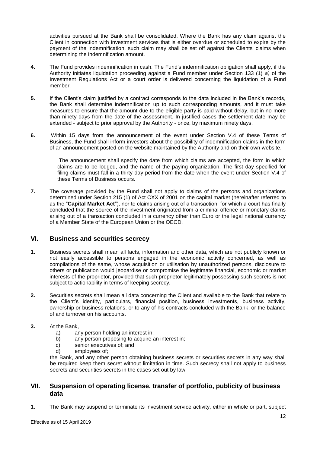activities pursued at the Bank shall be consolidated. Where the Bank has any claim against the Client in connection with investment services that is either overdue or scheduled to expire by the payment of the indemnification, such claim may shall be set off against the Clients' claims when determining the indemnification amount.

- **4.** The Fund provides indemnification in cash. The Fund's indemnification obligation shall apply, if the Authority initiates liquidation proceeding against a Fund member under Section 133 (1) *a)* of the Investment Regulations Act or a court order is delivered concerning the liquidation of a Fund member.
- **5.** If the Client's claim justified by a contract corresponds to the data included in the Bank's records, the Bank shall determine indemnification up to such corresponding amounts, and it must take measures to ensure that the amount due to the eligible party is paid without delay, but in no more than ninety days from the date of the assessment. In justified cases the settlement date may be extended - subject to prior approval by the Authority - once, by maximum ninety days.
- **6.** Within 15 days from the announcement of the event under Section V.4 of these Terms of Business, the Fund shall inform investors about the possibility of indemnification claims in the form of an announcement posted on the website maintained by the Authority and on their own website.

The announcement shall specify the date from which claims are accepted, the form in which claims are to be lodged, and the name of the paying organization. The first day specified for filing claims must fall in a thirty-day period from the date when the event under Section V.4 of these Terms of Business occurs.

**7.** The coverage provided by the Fund shall not apply to claims of the persons and organizations determined under Section 215 (1) of Act CXX of 2001 on the capital market (hereinafter referred to as the "**Capital Market Act**"), nor to claims arising out of a transaction, for which a court has finally concluded that the source of the investment originated from a criminal offence or monetary claims arising out of a transaction concluded in a currency other than Euro or the legal national currency of a Member State of the European Union or the OECD.

## <span id="page-11-0"></span>**VI. Business and securities secrecy**

- **1.** Business secrets shall mean all facts, information and other data, which are not publicly known or not easily accessible to persons engaged in the economic activity concerned, as well as compilations of the same, whose acquisition or utilisation by unauthorized persons, disclosure to others or publication would jeopardise or compromise the legitimate financial, economic or market interests of the proprietor, provided that such proprietor legitimately possessing such secrets is not subject to actionability in terms of keeping secrecy.
- **2.** Securities secrets shall mean all data concerning the Client and available to the Bank that relate to the Client's identity, particulars, financial position, business investments, business activity, ownership or business relations, or to any of his contracts concluded with the Bank, or the balance of and turnover on his accounts.
- **3.** At the Bank,
	- a) any person holding an interest in;
	- b) any person proposing to acquire an interest in;
	- c) senior executives of; and
	- d) employees of;

the Bank, and any other person obtaining business secrets or securities secrets in any way shall be required keep them secret without limitation in time. Such secrecy shall not apply to business secrets and securities secrets in the cases set out by law.

## <span id="page-11-1"></span>**VII. Suspension of operating license, transfer of portfolio, publicity of business data**

**1.** The Bank may suspend or terminate its investment service activity, either in whole or part, subject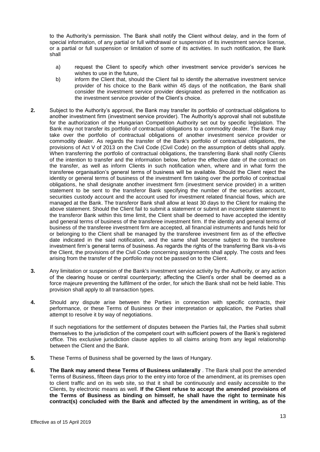to the Authority's permission. The Bank shall notify the Client without delay, and in the form of special information, of any partial or full withdrawal or suspension of its investment service license, or a partial or full suspension or limitation of some of its activities. In such notification, the Bank shall

- a) request the Client to specify which other investment service provider's services he wishes to use in the future,
- b) inform the Client that, should the Client fail to identify the alternative investment service provider of his choice to the Bank within 45 days of the notification, the Bank shall consider the investment service provider designated as preferred in the notification as the investment service provider of the Client's choice.
- **2.** Subject to the Authority's approval, the Bank may transfer its portfolio of contractual obligations to another investment firm (investment service provider). The Authority's approval shall not substitute for the authorization of the Hungarian Competition Authority set out by specific legislation. The Bank may not transfer its portfolio of contractual obligations to a commodity dealer. The Bank may take over the portfolio of contractual obligations of another investment service provider or commodity dealer. As regards the transfer of the Bank's portfolio of contractual obligations, the provisions of Act V of 2013 on the Civil Code (Civil Code) on the assumption of debts shall apply. When transferring the portfolio of contractual obligations, the transferring Bank shall notify Clients of the intention to transfer and the information below, before the effective date of the contract on the transfer, as well as inform Clients in such notification when, where and in what form the transferee organisation's general terms of business will be available. Should the Client reject the identity or general terms of business of the investment firm taking over the portfolio of contractual obligations, he shall designate another investment firm (investment service provider) in a written statement to be sent to the transferor Bank specifying the number of the securities account, securities custody account and the account used for investment related financial flows, which are managed at the Bank. The transferor Bank shall allow at least 30 days to the Client for making the above statement. Should the Client fail to submit a statement or submit an incomplete statement to the transferor Bank within this time limit, the Client shall be deemed to have accepted the identity and general terms of business of the transferee investment firm. If the identity and general terms of business of the transferee investment firm are accepted, all financial instruments and funds held for or belonging to the Client shall be managed by the transferee investment firm as of the effective date indicated in the said notification, and the same shall become subject to the transferee investment firm's general terms of business. As regards the rights of the transferring Bank vis-à-vis the Client, the provisions of the Civil Code concerning assignments shall apply. The costs and fees arising from the transfer of the portfolio may not be passed on to the Client.
- **3.** Any limitation or suspension of the Bank's investment service activity by the Authority, or any action of the clearing house or central counterparty; affecting the Client's order shall be deemed as a force majeure preventing the fulfilment of the order, for which the Bank shall not be held liable. This provision shall apply to all transaction types.
- **4.** Should any dispute arise between the Parties in connection with specific contracts, their performance, or these Terms of Business or their interpretation or application, the Parties shall attempt to resolve it by way of negotiations.

If such negotiations for the settlement of disputes between the Parties fail, the Parties shall submit themselves to the jurisdiction of the competent court with sufficient powers of the Bank's registered office. This exclusive jurisdiction clause applies to all claims arising from any legal relationship between the Client and the Bank.

- **5.** These Terms of Business shall be governed by the laws of Hungary.
- **6. The Bank may amend these Terms of Business unilaterally** . The Bank shall post the amended Terms of Business, fifteen days prior to the entry into force of the amendment, at its premises open to client traffic and on its web site, so that it shall be continuously and easily accessible to the Clients, by electronic means as well. **If the Client refuse to accept the amended provisions of the Terms of Business as binding on himself, he shall have the right to terminate his contract(s) concluded with the Bank and affected by the amendment in writing, as of the**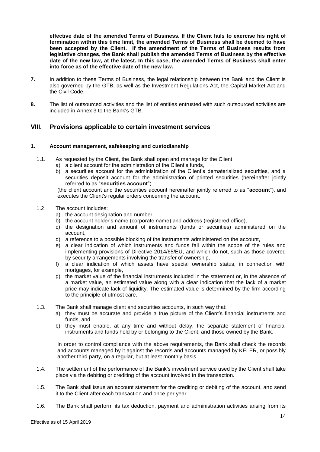**effective date of the amended Terms of Business. If the Client fails to exercise his right of termination within this time limit, the amended Terms of Business shall be deemed to have been accepted by the Client. If the amendment of the Terms of Business results from legislative changes, the Bank shall publish the amended Terms of Business by the effective date of the new law, at the latest. In this case, the amended Terms of Business shall enter into force as of the effective date of the new law.**

- **7.** In addition to these Terms of Business, the legal relationship between the Bank and the Client is also governed by the GTB, as well as the Investment Regulations Act, the Capital Market Act and the Civil Code.
- **8.** The list of outsourced activities and the list of entities entrusted with such outsourced activities are included in Annex 3 to the Bank's GTB.

## <span id="page-13-0"></span>**VIII. Provisions applicable to certain investment services**

#### **1. Account management, safekeeping and custodianship**

- 1.1. As requested by the Client, the Bank shall open and manage for the Client
	- a) a client account for the administration of the Client's funds,
	- b) a securities account for the administration of the Client's dematerialized securities, and a securities deposit account for the administration of printed securities (hereinafter jointly referred to as "**securities account**")

(the client account and the securities account hereinafter jointly referred to as "**account**"), and executes the Client's regular orders concerning the account.

### 1.2 The account includes:

- a) the account designation and number,
- b) the account holder's name (corporate name) and address (registered office),
- c) the designation and amount of instruments (funds or securities) administered on the account,
- d) a reference to a possible blocking of the instruments administered on the account,
- e) a clear indication of which instruments and funds fall within the scope of the rules and implementing provisions of Directive 2014/65/EU, and which do not, such as those covered by security arrangements involving the transfer of ownership,
- f) a clear indication of which assets have special ownership status, in connection with mortgages, for example,
- g) the market value of the financial instruments included in the statement or, in the absence of a market value, an estimated value along with a clear indication that the lack of a market price may indicate lack of liquidity. The estimated value is determined by the firm according to the principle of utmost care.
- 1.3. The Bank shall manage client and securities accounts, in such way that:
	- a) they must be accurate and provide a true picture of the Client's financial instruments and funds, and
	- b) they must enable, at any time and without delay, the separate statement of financial instruments and funds held by or belonging to the Client, and those owned by the Bank.

In order to control compliance with the above requirements, the Bank shall check the records and accounts managed by it against the records and accounts managed by KELER, or possibly another third party, on a regular, but at least monthly basis.

- 1.4. The settlement of the performance of the Bank's investment service used by the Client shall take place via the debiting or crediting of the account involved in the transaction.
- 1.5. The Bank shall issue an account statement for the crediting or debiting of the account, and send it to the Client after each transaction and once per year.
- 1.6. The Bank shall perform its tax deduction, payment and administration activities arising from its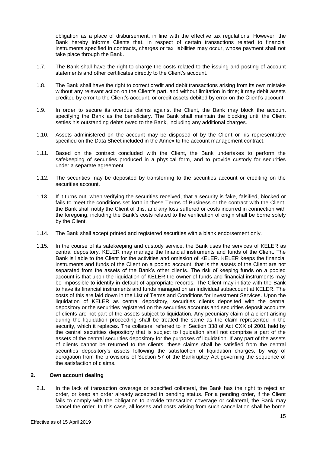obligation as a place of disbursement, in line with the effective tax regulations. However, the Bank hereby informs Clients that, in respect of certain transactions related to financial instruments specified in contracts, charges or tax liabilities may occur, whose payment shall not take place through the Bank.

- 1.7. The Bank shall have the right to charge the costs related to the issuing and posting of account statements and other certificates directly to the Client's account.
- 1.8. The Bank shall have the right to correct credit and debit transactions arising from its own mistake without any relevant action on the Client's part, and without limitation in time; it may debit assets credited by error to the Client's account, or credit assets debited by error on the Client's account.
- 1.9. In order to secure its overdue claims against the Client, the Bank may block the account specifying the Bank as the beneficiary. The Bank shall maintain the blocking until the Client settles his outstanding debts owed to the Bank, including any additional charges.
- 1.10. Assets administered on the account may be disposed of by the Client or his representative specified on the Data Sheet included in the Annex to the account management contract.
- 1.11. Based on the contract concluded with the Client, the Bank undertakes to perform the safekeeping of securities produced in a physical form, and to provide custody for securities under a separate agreement.
- 1.12. The securities may be deposited by transferring to the securities account or crediting on the securities account.
- 1.13. If it turns out, when verifying the securities received, that a security is fake, falsified, blocked or fails to meet the conditions set forth in these Terms of Business or the contract with the Client, the Bank shall notify the Client of this, and any loss suffered or costs incurred in connection with the foregoing, including the Bank's costs related to the verification of origin shall be borne solely by the Client.
- 1.14. The Bank shall accept printed and registered securities with a blank endorsement only.
- 1.15. In the course of its safekeeping and custody service, the Bank uses the services of KELER as central depository. KELER may manage the financial instruments and funds of the Client. The Bank is liable to the Client for the activities and omission of KELER. KELER keeps the financial instruments and funds of the Client on a pooled account, that is the assets of the Client are not separated from the assets of the Bank's other clients. The risk of keeping funds on a pooled account is that upon the liquidation of KELER the owner of funds and financial instruments may be impossible to identify in default of appropriate records. The Client may initiate with the Bank to have its financial instruments and funds managed on an individual subaccount at KELER. The costs of this are laid down in the List of Terms and Conditions for Investment Services. Upon the liquidation of KELER as central depository, securities clients deposited with the central depository or the securities registered on the securities accounts and securities deposit accounts of clients are not part of the assets subject to liquidation. Any pecuniary claim of a client arising during the liquidation proceeding shall be treated the same as the claim represented in the security, which it replaces. The collateral referred to in Section 338 of Act CXX of 2001 held by the central securities depository that is subject to liquidation shall not comprise a part of the assets of the central securities depository for the purposes of liquidation. If any part of the assets of clients cannot be returned to the clients, these claims shall be satisfied from the central securities depository's assets following the satisfaction of liquidation charges, by way of derogation from the provisions of Section 57 of the Bankruptcy Act governing the sequence of the satisfaction of claims.

#### **2. Own account dealing**

2.1. In the lack of transaction coverage or specified collateral, the Bank has the right to reject an order, or keep an order already accepted in pending status. For a pending order, if the Client fails to comply with the obligation to provide transaction coverage or collateral, the Bank may cancel the order. In this case, all losses and costs arising from such cancellation shall be borne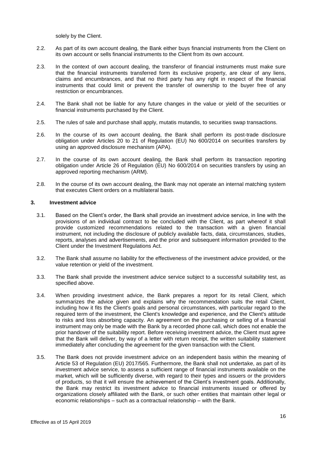solely by the Client.

- 2.2. As part of its own account dealing, the Bank either buys financial instruments from the Client on its own account or sells financial instruments to the Client from its own account.
- 2.3. In the context of own account dealing, the transferor of financial instruments must make sure that the financial instruments transferred form its exclusive property, are clear of any liens, claims and encumbrances, and that no third party has any right in respect of the financial instruments that could limit or prevent the transfer of ownership to the buyer free of any restriction or encumbrances.
- 2.4. The Bank shall not be liable for any future changes in the value or yield of the securities or financial instruments purchased by the Client.
- 2.5. The rules of sale and purchase shall apply, mutatis mutandis, to securities swap transactions.
- 2.6. In the course of its own account dealing, the Bank shall perform its post-trade disclosure obligation under Articles 20 to 21 of Regulation (EU) No 600/2014 on securities transfers by using an approved disclosure mechanism (APA).
- 2.7. In the course of its own account dealing, the Bank shall perform its transaction reporting obligation under Article 26 of Regulation (EU) No 600/2014 on securities transfers by using an approved reporting mechanism (ARM).
- 2.8. In the course of its own account dealing, the Bank may not operate an internal matching system that executes Client orders on a multilateral basis.

#### **3. Investment advice**

- 3.1. Based on the Client's order, the Bank shall provide an investment advice service, in line with the provisions of an individual contract to be concluded with the Client, as part whereof it shall provide customized recommendations related to the transaction with a given financial instrument, not including the disclosure of publicly available facts, data, circumstances, studies, reports, analyses and advertisements, and the prior and subsequent information provided to the Client under the Investment Regulations Act.
- 3.2. The Bank shall assume no liability for the effectiveness of the investment advice provided, or the value retention or yield of the investment.
- 3.3. The Bank shall provide the investment advice service subject to a successful suitability test, as specified above.
- 3.4. When providing investment advice, the Bank prepares a report for its retail Client, which summarizes the advice given and explains why the recommendation suits the retail Client, including how it fits the Client's goals and personal circumstances, with particular regard to the required term of the investment, the Client's knowledge and experience, and the Client's attitude to risks and loss absorbing capacity. An agreement on the purchasing or selling of a financial instrument may only be made with the Bank by a recorded phone call, which does not enable the prior handover of the suitability report. Before receiving investment advice, the Client must agree that the Bank will deliver, by way of a letter with return receipt, the written suitability statement immediately after concluding the agreement for the given transaction with the Client.
- 3.5. The Bank does not provide investment advice on an independent basis within the meaning of Article 53 of Regulation (EU) 2017/565. Furthermore, the Bank shall not undertake, as part of its investment advice service, to assess a sufficient range of financial instruments available on the market, which will be sufficiently diverse, with regard to their types and issuers or the providers of products, so that it will ensure the achievement of the Client's investment goals. Additionally, the Bank may restrict its investment advice to financial instruments issued or offered by organizations closely affiliated with the Bank, or such other entities that maintain other legal or economic relationships – such as a contractual relationship – with the Bank.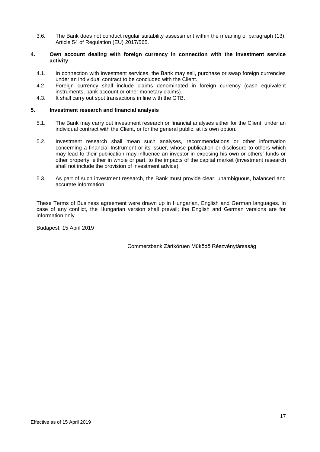3.6. The Bank does not conduct regular suitability assessment within the meaning of paragraph (13), Article 54 of Regulation (EU) 2017/565.

#### **4. Own account dealing with foreign currency in connection with the investment service activity**

- 4.1. In connection with investment services, the Bank may sell, purchase or swap foreign currencies under an individual contract to be concluded with the Client.
- 4.2 Foreign currency shall include claims denominated in foreign currency (cash equivalent instruments, bank account or other monetary claims).
- 4.3. It shall carry out spot transactions in line with the GTB.

#### **5. Investment research and financial analysis**

- 5.1. The Bank may carry out investment research or financial analyses either for the Client, under an individual contract with the Client, or for the general public, at its own option.
- 5.2. Investment research shall mean such analyses, recommendations or other information concerning a financial Instrument or its issuer, whose publication or disclosure to others which may lead to their publication may influence an investor in exposing his own or others' funds or other property, either in whole or part, to the impacts of the capital market (investment research shall not include the provision of investment advice).
- 5.3. As part of such investment research, the Bank must provide clear, unambiguous, balanced and accurate information.

These Terms of Business agreement were drawn up in Hungarian, English and German languages. In case of any conflict, the Hungarian version shall prevail; the English and German versions are for information only.

Budapest, 15 April 2019

Commerzbank Zártkörűen Működő Részvénytársaság